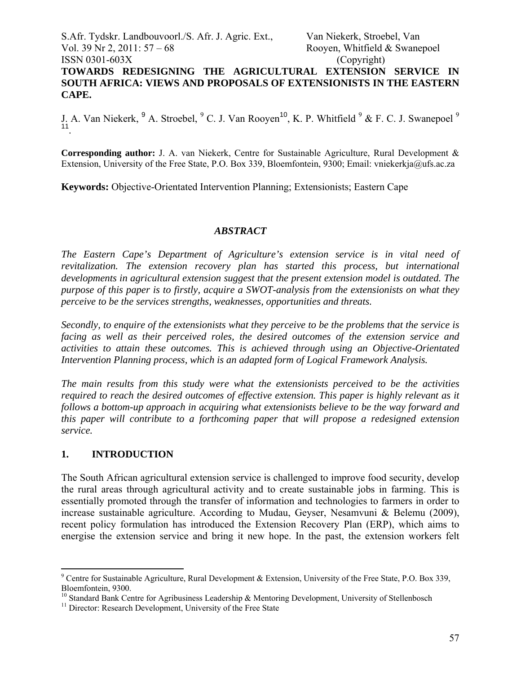# S.Afr. Tydskr. Landbouvoorl./S. Afr. J. Agric. Ext., Van Niekerk, Stroebel, Van Vol. 39 Nr 2, 2011:  $57 - 68$  Rooyen, Whitfield & Swanepoel ISSN 0301-603X (Copyright) **TOWARDS REDESIGNING THE AGRICULTURAL EXTENSION SERVICE IN SOUTH AFRICA: VIEWS AND PROPOSALS OF EXTENSIONISTS IN THE EASTERN CAPE.**

J. A. Van Niekerk, <sup>9</sup> A. Stroebel, <sup>9</sup> C. J. Van Rooyen<sup>10</sup>, K. P. Whitfield <sup>9</sup> & F. C. J. Swanepoel <sup>9</sup> <sup>11</sup>.

**Corresponding author:** J. A. van Niekerk, Centre for Sustainable Agriculture, Rural Development & Extension, University of the Free State, P.O. Box 339, Bloemfontein, 9300; Email: vniekerkja@ufs.ac.za

**Keywords:** Objective-Orientated Intervention Planning; Extensionists; Eastern Cape

#### *ABSTRACT*

*The Eastern Cape's Department of Agriculture's extension service is in vital need of revitalization. The extension recovery plan has started this process, but international developments in agricultural extension suggest that the present extension model is outdated. The purpose of this paper is to firstly, acquire a SWOT-analysis from the extensionists on what they perceive to be the services strengths, weaknesses, opportunities and threats.* 

*Secondly, to enquire of the extensionists what they perceive to be the problems that the service is facing as well as their perceived roles, the desired outcomes of the extension service and activities to attain these outcomes. This is achieved through using an Objective-Orientated Intervention Planning process, which is an adapted form of Logical Framework Analysis.* 

*The main results from this study were what the extensionists perceived to be the activities required to reach the desired outcomes of effective extension. This paper is highly relevant as it follows a bottom-up approach in acquiring what extensionists believe to be the way forward and this paper will contribute to a forthcoming paper that will propose a redesigned extension service.* 

#### **1. INTRODUCTION**

 $\overline{a}$ 

The South African agricultural extension service is challenged to improve food security, develop the rural areas through agricultural activity and to create sustainable jobs in farming. This is essentially promoted through the transfer of information and technologies to farmers in order to increase sustainable agriculture. According to Mudau, Geyser, Nesamvuni & Belemu (2009), recent policy formulation has introduced the Extension Recovery Plan (ERP), which aims to energise the extension service and bring it new hope. In the past, the extension workers felt

<sup>&</sup>lt;sup>9</sup> Centre for Sustainable Agriculture, Rural Development & Extension, University of the Free State, P.O. Box 339, Bloemfontein, 9300.

<sup>&</sup>lt;sup>10</sup> Standard Bank Centre for Agribusiness Leadership & Mentoring Development, University of Stellenbosch

<sup>&</sup>lt;sup>11</sup> Director: Research Development, University of the Free State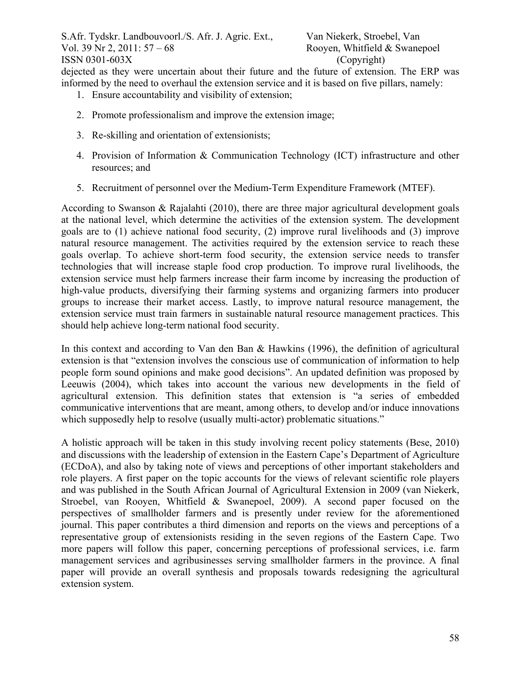dejected as they were uncertain about their future and the future of extension. The ERP was informed by the need to overhaul the extension service and it is based on five pillars, namely:

- 1. Ensure accountability and visibility of extension;
- 2. Promote professionalism and improve the extension image;
- 3. Re-skilling and orientation of extensionists;
- 4. Provision of Information & Communication Technology (ICT) infrastructure and other resources; and
- 5. Recruitment of personnel over the Medium-Term Expenditure Framework (MTEF).

According to Swanson & Rajalahti (2010), there are three major agricultural development goals at the national level, which determine the activities of the extension system. The development goals are to (1) achieve national food security, (2) improve rural livelihoods and (3) improve natural resource management. The activities required by the extension service to reach these goals overlap. To achieve short-term food security, the extension service needs to transfer technologies that will increase staple food crop production. To improve rural livelihoods, the extension service must help farmers increase their farm income by increasing the production of high-value products, diversifying their farming systems and organizing farmers into producer groups to increase their market access. Lastly, to improve natural resource management, the extension service must train farmers in sustainable natural resource management practices. This should help achieve long-term national food security.

In this context and according to Van den Ban & Hawkins (1996), the definition of agricultural extension is that "extension involves the conscious use of communication of information to help people form sound opinions and make good decisions". An updated definition was proposed by Leeuwis (2004), which takes into account the various new developments in the field of agricultural extension. This definition states that extension is "a series of embedded communicative interventions that are meant, among others, to develop and/or induce innovations which supposedly help to resolve (usually multi-actor) problematic situations."

A holistic approach will be taken in this study involving recent policy statements (Bese, 2010) and discussions with the leadership of extension in the Eastern Cape's Department of Agriculture (ECDoA), and also by taking note of views and perceptions of other important stakeholders and role players. A first paper on the topic accounts for the views of relevant scientific role players and was published in the South African Journal of Agricultural Extension in 2009 (van Niekerk, Stroebel, van Rooyen, Whitfield & Swanepoel, 2009). A second paper focused on the perspectives of smallholder farmers and is presently under review for the aforementioned journal. This paper contributes a third dimension and reports on the views and perceptions of a representative group of extensionists residing in the seven regions of the Eastern Cape. Two more papers will follow this paper, concerning perceptions of professional services, i.e. farm management services and agribusinesses serving smallholder farmers in the province. A final paper will provide an overall synthesis and proposals towards redesigning the agricultural extension system.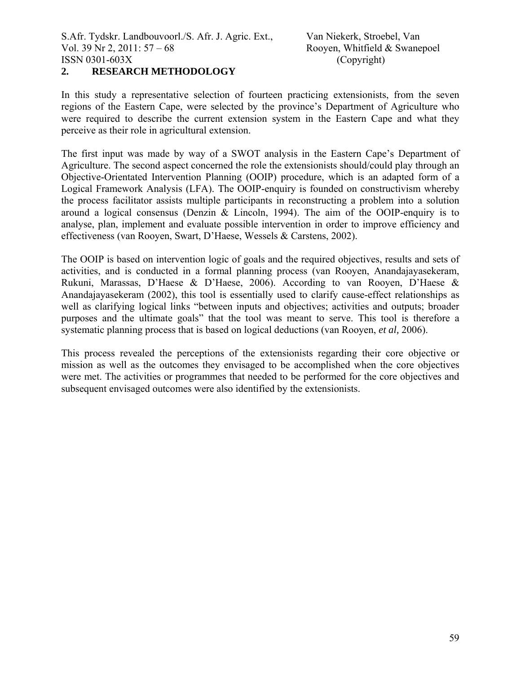#### **2. RESEARCH METHODOLOGY**

In this study a representative selection of fourteen practicing extensionists, from the seven regions of the Eastern Cape, were selected by the province's Department of Agriculture who were required to describe the current extension system in the Eastern Cape and what they perceive as their role in agricultural extension.

The first input was made by way of a SWOT analysis in the Eastern Cape's Department of Agriculture. The second aspect concerned the role the extensionists should/could play through an Objective-Orientated Intervention Planning (OOIP) procedure, which is an adapted form of a Logical Framework Analysis (LFA). The OOIP-enquiry is founded on constructivism whereby the process facilitator assists multiple participants in reconstructing a problem into a solution around a logical consensus (Denzin & Lincoln, 1994). The aim of the OOIP-enquiry is to analyse, plan, implement and evaluate possible intervention in order to improve efficiency and effectiveness (van Rooyen, Swart, D'Haese, Wessels & Carstens, 2002).

The OOIP is based on intervention logic of goals and the required objectives, results and sets of activities, and is conducted in a formal planning process (van Rooyen, Anandajayasekeram, Rukuni, Marassas, D'Haese & D'Haese, 2006). According to van Rooyen, D'Haese & Anandajayasekeram (2002), this tool is essentially used to clarify cause-effect relationships as well as clarifying logical links "between inputs and objectives; activities and outputs; broader purposes and the ultimate goals" that the tool was meant to serve. This tool is therefore a systematic planning process that is based on logical deductions (van Rooyen, *et al,* 2006).

This process revealed the perceptions of the extensionists regarding their core objective or mission as well as the outcomes they envisaged to be accomplished when the core objectives were met. The activities or programmes that needed to be performed for the core objectives and subsequent envisaged outcomes were also identified by the extensionists.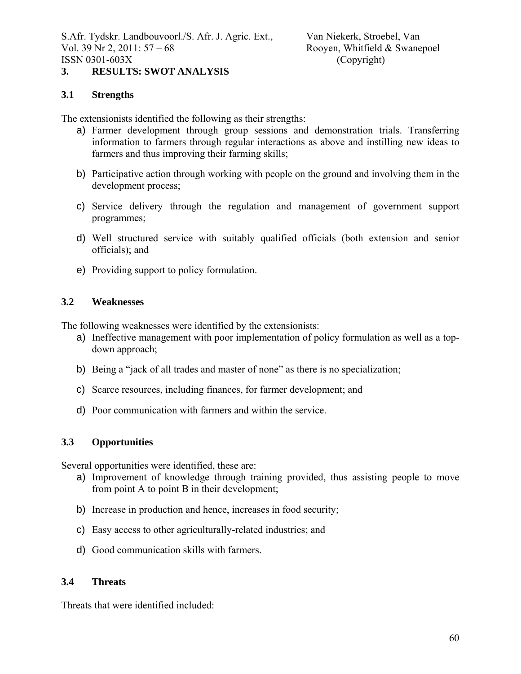S.Afr. Tydskr. Landbouvoorl./S. Afr. J. Agric. Ext., Van Niekerk, Stroebel, Van Vol. 39 Nr 2, 2011:  $57 - 68$  Rooyen, Whitfield & Swanepoel ISSN 0301-603X (Copyright)

## **3. RESULTS: SWOT ANALYSIS**

### **3.1 Strengths**

The extensionists identified the following as their strengths:

- a) Farmer development through group sessions and demonstration trials. Transferring information to farmers through regular interactions as above and instilling new ideas to farmers and thus improving their farming skills;
- b) Participative action through working with people on the ground and involving them in the development process;
- c) Service delivery through the regulation and management of government support programmes;
- d) Well structured service with suitably qualified officials (both extension and senior officials); and
- e) Providing support to policy formulation.

#### **3.2 Weaknesses**

The following weaknesses were identified by the extensionists:

- a) Ineffective management with poor implementation of policy formulation as well as a topdown approach;
- b) Being a "jack of all trades and master of none" as there is no specialization;
- c) Scarce resources, including finances, for farmer development; and
- d) Poor communication with farmers and within the service.

# **3.3 Opportunities**

Several opportunities were identified, these are:

- a) Improvement of knowledge through training provided, thus assisting people to move from point A to point B in their development;
- b) Increase in production and hence, increases in food security;
- c) Easy access to other agriculturally-related industries; and
- d) Good communication skills with farmers.

#### **3.4 Threats**

Threats that were identified included: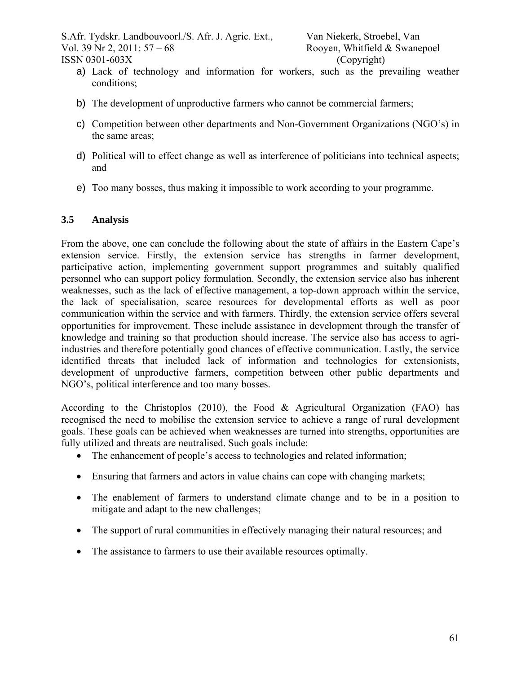S.Afr. Tydskr. Landbouvoorl./S. Afr. J. Agric. Ext., Van Niekerk, Stroebel, Van Vol. 39 Nr 2, 2011:  $57 - 68$  Rooyen, Whitfield & Swanepoel ISSN 0301-603X (Copyright)

- a) Lack of technology and information for workers, such as the prevailing weather conditions;
- b) The development of unproductive farmers who cannot be commercial farmers;
- c) Competition between other departments and Non-Government Organizations (NGO's) in the same areas;
- d) Political will to effect change as well as interference of politicians into technical aspects; and
- e) Too many bosses, thus making it impossible to work according to your programme.

# **3.5 Analysis**

From the above, one can conclude the following about the state of affairs in the Eastern Cape's extension service. Firstly, the extension service has strengths in farmer development, participative action, implementing government support programmes and suitably qualified personnel who can support policy formulation. Secondly, the extension service also has inherent weaknesses, such as the lack of effective management, a top-down approach within the service, the lack of specialisation, scarce resources for developmental efforts as well as poor communication within the service and with farmers. Thirdly, the extension service offers several opportunities for improvement. These include assistance in development through the transfer of knowledge and training so that production should increase. The service also has access to agriindustries and therefore potentially good chances of effective communication. Lastly, the service identified threats that included lack of information and technologies for extensionists, development of unproductive farmers, competition between other public departments and NGO's, political interference and too many bosses.

According to the Christoplos (2010), the Food & Agricultural Organization (FAO) has recognised the need to mobilise the extension service to achieve a range of rural development goals. These goals can be achieved when weaknesses are turned into strengths, opportunities are fully utilized and threats are neutralised. Such goals include:

- The enhancement of people's access to technologies and related information:
- Ensuring that farmers and actors in value chains can cope with changing markets;
- The enablement of farmers to understand climate change and to be in a position to mitigate and adapt to the new challenges;
- The support of rural communities in effectively managing their natural resources; and
- The assistance to farmers to use their available resources optimally.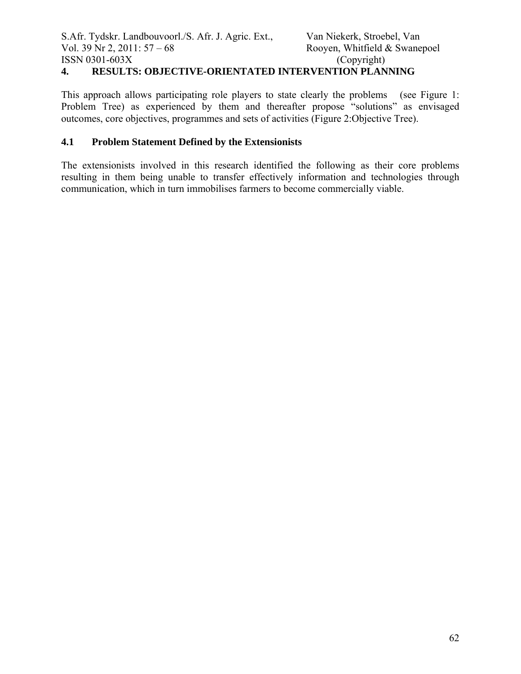# **4. RESULTS: OBJECTIVE-ORIENTATED INTERVENTION PLANNING**

This approach allows participating role players to state clearly the problems (see Figure 1: Problem Tree) as experienced by them and thereafter propose "solutions" as envisaged outcomes, core objectives, programmes and sets of activities (Figure 2:Objective Tree).

## **4.1 Problem Statement Defined by the Extensionists**

The extensionists involved in this research identified the following as their core problems resulting in them being unable to transfer effectively information and technologies through communication, which in turn immobilises farmers to become commercially viable.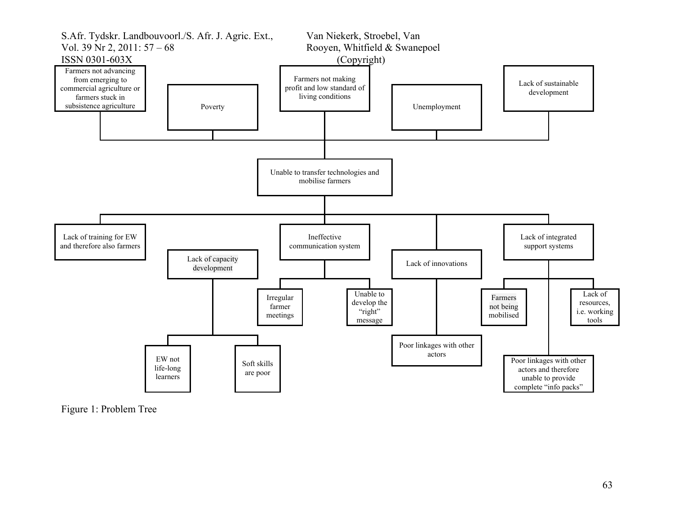

Figure 1: Problem Tree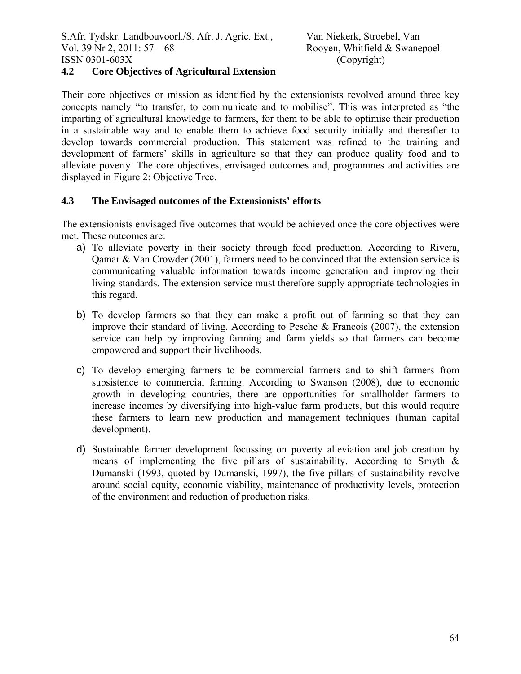# **4.2 Core Objectives of Agricultural Extension**

Their core objectives or mission as identified by the extensionists revolved around three key concepts namely "to transfer, to communicate and to mobilise". This was interpreted as "the imparting of agricultural knowledge to farmers, for them to be able to optimise their production in a sustainable way and to enable them to achieve food security initially and thereafter to develop towards commercial production. This statement was refined to the training and development of farmers' skills in agriculture so that they can produce quality food and to alleviate poverty. The core objectives, envisaged outcomes and, programmes and activities are displayed in Figure 2: Objective Tree.

# **4.3 The Envisaged outcomes of the Extensionists' efforts**

The extensionists envisaged five outcomes that would be achieved once the core objectives were met. These outcomes are:

- a) To alleviate poverty in their society through food production. According to Rivera, Qamar & Van Crowder (2001), farmers need to be convinced that the extension service is communicating valuable information towards income generation and improving their living standards. The extension service must therefore supply appropriate technologies in this regard.
- b) To develop farmers so that they can make a profit out of farming so that they can improve their standard of living. According to Pesche & Francois (2007), the extension service can help by improving farming and farm yields so that farmers can become empowered and support their livelihoods.
- c) To develop emerging farmers to be commercial farmers and to shift farmers from subsistence to commercial farming. According to Swanson (2008), due to economic growth in developing countries, there are opportunities for smallholder farmers to increase incomes by diversifying into high-value farm products, but this would require these farmers to learn new production and management techniques (human capital development).
- d) Sustainable farmer development focussing on poverty alleviation and job creation by means of implementing the five pillars of sustainability. According to Smyth  $\&$ Dumanski (1993, quoted by Dumanski, 1997), the five pillars of sustainability revolve around social equity, economic viability, maintenance of productivity levels, protection of the environment and reduction of production risks.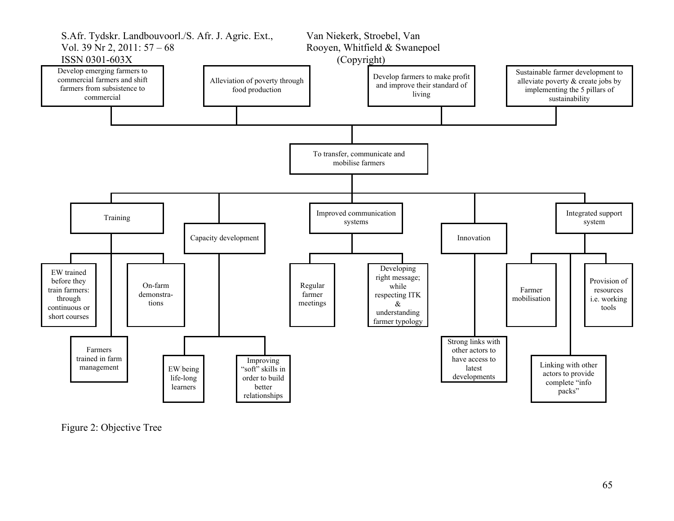

Figure 2: Objective Tree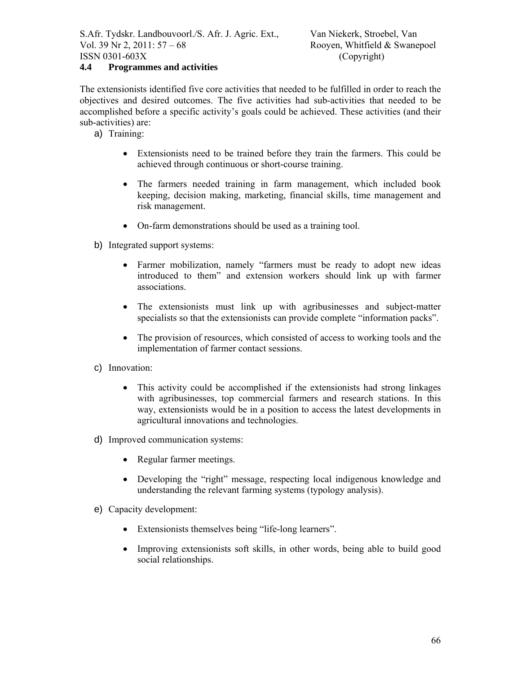## **4.4 Programmes and activities**

The extensionists identified five core activities that needed to be fulfilled in order to reach the objectives and desired outcomes. The five activities had sub-activities that needed to be accomplished before a specific activity's goals could be achieved. These activities (and their sub-activities) are:

- a) Training:
	- Extensionists need to be trained before they train the farmers. This could be achieved through continuous or short-course training.
	- The farmers needed training in farm management, which included book keeping, decision making, marketing, financial skills, time management and risk management.
	- On-farm demonstrations should be used as a training tool.
- b) Integrated support systems:
	- Farmer mobilization, namely "farmers must be ready to adopt new ideas introduced to them" and extension workers should link up with farmer associations.
	- The extensionists must link up with agribusinesses and subject-matter specialists so that the extensionists can provide complete "information packs".
	- The provision of resources, which consisted of access to working tools and the implementation of farmer contact sessions.
- c) Innovation:
	- This activity could be accomplished if the extensionists had strong linkages with agribusinesses, top commercial farmers and research stations. In this way, extensionists would be in a position to access the latest developments in agricultural innovations and technologies.
- d) Improved communication systems:
	- Regular farmer meetings.
	- Developing the "right" message, respecting local indigenous knowledge and understanding the relevant farming systems (typology analysis).
- e) Capacity development:
	- Extensionists themselves being "life-long learners".
	- Improving extensionists soft skills, in other words, being able to build good social relationships.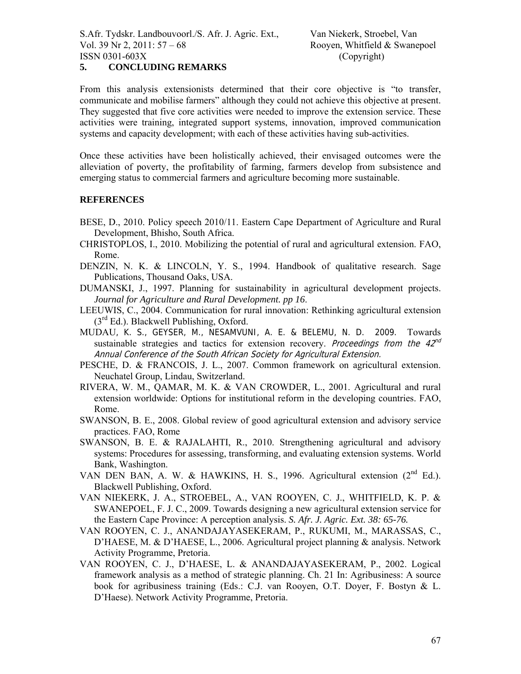From this analysis extensionists determined that their core objective is "to transfer, communicate and mobilise farmers" although they could not achieve this objective at present. They suggested that five core activities were needed to improve the extension service. These activities were training, integrated support systems, innovation, improved communication systems and capacity development; with each of these activities having sub-activities.

Once these activities have been holistically achieved, their envisaged outcomes were the alleviation of poverty, the profitability of farming, farmers develop from subsistence and emerging status to commercial farmers and agriculture becoming more sustainable.

#### **REFERENCES**

- BESE, D., 2010. Policy speech 2010/11. Eastern Cape Department of Agriculture and Rural Development, Bhisho, South Africa.
- CHRISTOPLOS, I., 2010. Mobilizing the potential of rural and agricultural extension. FAO, Rome.
- DENZIN, N. K. & LINCOLN, Y. S., 1994. Handbook of qualitative research. Sage Publications, Thousand Oaks, USA.
- DUMANSKI, J., 1997. Planning for sustainability in agricultural development projects. *Journal for Agriculture and Rural Development. pp 16*.
- LEEUWIS, C., 2004. Communication for rural innovation: Rethinking agricultural extension  $(3<sup>rd</sup> Ed.)$ . Blackwell Publishing, Oxford.
- MUDAU, K. S., GEYSER, M., NESAMVUNI, A. E. & BELEMU, N. D. 2009. Towards sustainable strategies and tactics for extension recovery. Proceedings from the  $42^{nd}$ Annual Conference of the South African Society for Agricultural Extension.
- PESCHE, D. & FRANCOIS, J. L., 2007. Common framework on agricultural extension. Neuchatel Group, Lindau, Switzerland.
- RIVERA, W. M., QAMAR, M. K. & VAN CROWDER, L., 2001. Agricultural and rural extension worldwide: Options for institutional reform in the developing countries. FAO, Rome.
- SWANSON, B. E., 2008. Global review of good agricultural extension and advisory service practices. FAO, Rome
- SWANSON, B. E. & RAJALAHTI, R., 2010. Strengthening agricultural and advisory systems: Procedures for assessing, transforming, and evaluating extension systems. World Bank, Washington.
- VAN DEN BAN, A. W. & HAWKINS, H. S., 1996. Agricultural extension (2<sup>nd</sup> Ed.). Blackwell Publishing, Oxford.
- VAN NIEKERK, J. A., STROEBEL, A., VAN ROOYEN, C. J., WHITFIELD, K. P. & SWANEPOEL, F. J. C., 2009. Towards designing a new agricultural extension service for the Eastern Cape Province: A perception analysis. *S. Afr. J. Agric. Ext. 38: 65-76.*
- VAN ROOYEN, C. J., ANANDAJAYASEKERAM, P., RUKUMI, M., MARASSAS, C., D'HAESE, M. & D'HAESE, L., 2006. Agricultural project planning & analysis. Network Activity Programme, Pretoria.
- VAN ROOYEN, C. J., D'HAESE, L. & ANANDAJAYASEKERAM, P., 2002. Logical framework analysis as a method of strategic planning. Ch. 21 In: Agribusiness: A source book for agribusiness training (Eds.: C.J. van Rooyen, O.T. Doyer, F. Bostyn & L. D'Haese). Network Activity Programme, Pretoria.